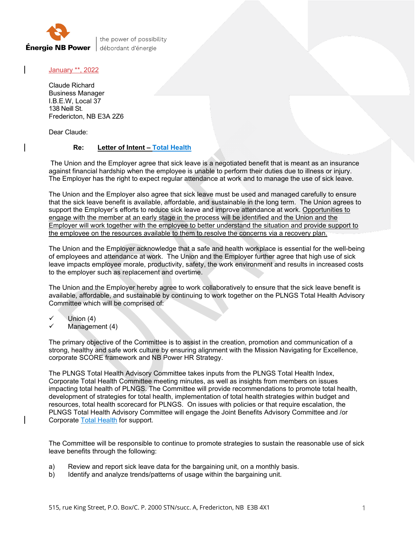

the power of possibility débordant d'énergie

January \*\*, 2022

Claude Richard Business Manager I.B.E.W, Local 37 138 Neill St. Fredericton, NB E3A 2Z6

Dear Claude:

## **Re: Letter of Intent – Total Health**

The Union and the Employer agree that sick leave is a negotiated benefit that is meant as an insurance against financial hardship when the employee is unable to perform their duties due to illness or injury. The Employer has the right to expect regular attendance at work and to manage the use of sick leave.

The Union and the Employer also agree that sick leave must be used and managed carefully to ensure that the sick leave benefit is available, affordable, and sustainable in the long term. The Union agrees to support the Employer's efforts to reduce sick leave and improve attendance at work. Opportunities to engage with the member at an early stage in the process will be identified and the Union and the Employer will work together with the employee to better understand the situation and provide support to the employee on the resources available to them to resolve the concerns via a recovery plan.

The Union and the Employer acknowledge that a safe and health workplace is essential for the well-being of employees and attendance at work. The Union and the Employer further agree that high use of sick leave impacts employee morale, productivity, safety, the work environment and results in increased costs to the employer such as replacement and overtime.

The Union and the Employer hereby agree to work collaboratively to ensure that the sick leave benefit is available, affordable, and sustainable by continuing to work together on the PLNGS Total Health Advisory Committee which will be comprised of:

- Union (4)
- Management (4)

The primary objective of the Committee is to assist in the creation, promotion and communication of a strong, healthy and safe work culture by ensuring alignment with the Mission Navigating for Excellence, corporate SCORE framework and NB Power HR Strategy.

The PLNGS Total Health Advisory Committee takes inputs from the PLNGS Total Health Index, Corporate Total Health Committee meeting minutes, as well as insights from members on issues impacting total health of PLNGS. The Committee will provide recommendations to promote total health, development of strategies for total health, implementation of total health strategies within budget and resources, total health scorecard for PLNGS. On issues with policies or that require escalation, the PLNGS Total Health Advisory Committee will engage the Joint Benefits Advisory Committee and /or Corporate Total Health for support.

The Committee will be responsible to continue to promote strategies to sustain the reasonable use of sick leave benefits through the following:

- a) Review and report sick leave data for the bargaining unit, on a monthly basis.
- b) Identify and analyze trends/patterns of usage within the bargaining unit.